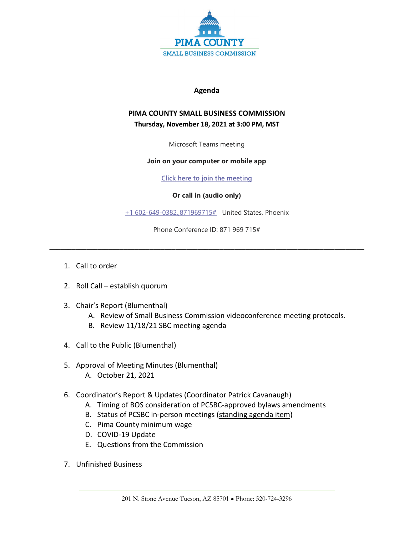

## **Agenda**

## **PIMA COUNTY SMALL BUSINESS COMMISSION Thursday, November 18, 2021 at 3:00 PM, MST**

Microsoft Teams meeting

## **Join on your computer or mobile app**

**[Click here to join the meeting](https://teams.microsoft.com/l/meetup-join/19%3ameeting_NDQ2N2FkMjgtMjg5Ny00ZGEyLTg3Y2ItMjQ1MDFiOGZjYjUz%40thread.v2/0?context=%7b%22Tid%22%3a%2233b6e2c3-0b1a-4879-b741-47461a6c1a89%22%2c%22Oid%22%3a%22c8e42fc0-da56-4d64-b5c6-6be70931590e%22%7d)**

## **Or call in (audio only)**

[+1 602-649-0382,,871969715#](tel:+16026490382,,871969715#%20) United States, Phoenix

Phone Conference ID: 871 969 715#

**\_\_\_\_\_\_\_\_\_\_\_\_\_\_\_\_\_\_\_\_\_\_\_\_\_\_\_\_\_\_\_\_\_\_\_\_\_\_\_\_\_\_\_\_\_\_\_\_\_\_\_\_\_\_\_\_\_\_\_\_\_\_\_\_\_\_\_\_\_\_\_\_\_\_\_\_\_\_\_\_\_\_\_\_\_**

- 1. Call to order
- 2. Roll Call establish quorum
- 3. Chair's Report (Blumenthal)
	- A. Review of Small Business Commission videoconference meeting protocols.
	- B. Review 11/18/21 SBC meeting agenda
- 4. Call to the Public (Blumenthal)
- 5. Approval of Meeting Minutes (Blumenthal)
	- A. October 21, 2021
- 6. Coordinator's Report & Updates (Coordinator Patrick Cavanaugh)
	- A. Timing of BOS consideration of PCSBC-approved bylaws amendments
	- B. Status of PCSBC in-person meetings (standing agenda item)
	- C. Pima County minimum wage
	- D. COVID-19 Update
	- E. Questions from the Commission
- 7. Unfinished Business